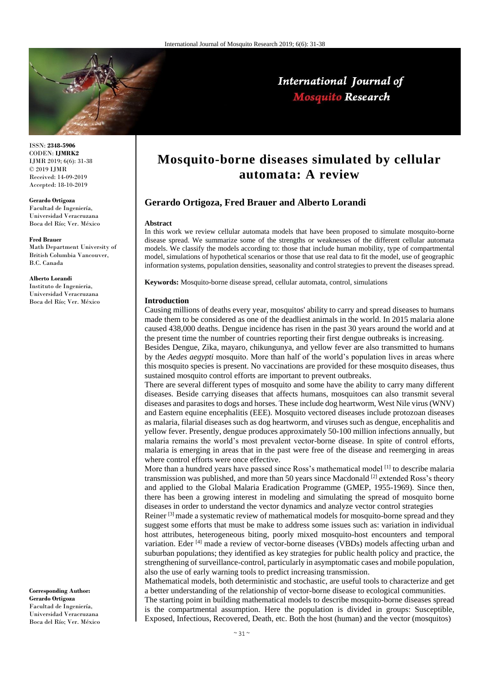

## International Journal of **Mosquito Research**

ISSN: **2348-5906** CODEN: **IJMRK2** IJMR 2019; 6(6): 31-38 © 2019 IJMR Received: 14-09-2019 Accepted: 18-10-2019

**Gerardo Ortigoza** Facultad de Ingeniería, Universidad Veracruzana

Boca del Río; Ver. México **Fred Brauer**

Math Department University of British Columbia Vancouver, B.C. Canada

**Alberto Lorandi**

Instituto de Ingenieria, Universidad Veracruzana Boca del Río; Ver. México

**Corresponding Author: Gerardo Ortigoza** Facultad de Ingeniería, Universidad Veracruzana Boca del Río; Ver. México

# **Mosquito-borne diseases simulated by cellular automata: A review**

### **Gerardo Ortigoza, Fred Brauer and Alberto Lorandi**

#### **Abstract**

In this work we review cellular automata models that have been proposed to simulate mosquito-borne disease spread. We summarize some of the strengths or weaknesses of the different cellular automata models. We classify the models according to: those that include human mobility, type of compartmental model, simulations of hypothetical scenarios or those that use real data to fit the model, use of geographic information systems, population densities, seasonality and control strategies to prevent the diseases spread.

**Keywords:** Mosquito-borne disease spread, cellular automata, control, simulations

#### **Introduction**

Causing millions of deaths every year, mosquitos' ability to carry and spread diseases to humans made them to be considered as one of the deadliest animals in the world. In 2015 malaria alone caused 438,000 deaths. Dengue incidence has risen in the past 30 years around the world and at the present time the number of countries reporting their first dengue outbreaks is increasing.

Besides Dengue, Zika, mayaro, chikungunya, and yellow fever are also transmitted to humans by the *Aedes aegypti* mosquito. More than half of the world's population lives in areas where this mosquito species is present. No vaccinations are provided for these mosquito diseases, thus sustained mosquito control efforts are important to prevent outbreaks.

There are several different types of mosquito and some have the ability to carry many different diseases. Beside carrying diseases that affects humans, mosquitoes can also transmit several diseases and parasites to dogs and horses. These include dog heartworm, West Nile virus (WNV) and Eastern equine encephalitis (EEE). Mosquito vectored diseases include protozoan diseases as malaria, filarial diseases such as dog heartworm, and viruses such as dengue, encephalitis and yellow fever. Presently, dengue produces approximately 50-100 million infections annually, but malaria remains the world's most prevalent vector-borne disease. In spite of control efforts, malaria is emerging in areas that in the past were free of the disease and reemerging in areas where control efforts were once effective.

More than a hundred years have passed since Ross's mathematical model  $^{[1]}$  to describe malaria transmission was published, and more than 50 years since Macdonald  $^{[2]}$  extended Ross's theory and applied to the Global Malaria Eradication Programme (GMEP, 1955-1969). Since then, there has been a growing interest in modeling and simulating the spread of mosquito borne diseases in order to understand the vector dynamics and analyze vector control strategies

Reiner  $[3]$  made a systematic review of mathematical models for mosquito-borne spread and they suggest some efforts that must be make to address some issues such as: variation in individual host attributes, heterogeneous biting, poorly mixed mosquito-host encounters and temporal variation. Eder [4] made a review of vector-borne diseases (VBDs) models affecting urban and suburban populations; they identified as key strategies for public health policy and practice, the strengthening of surveillance-control, particularly in asymptomatic cases and mobile population, also the use of early warning tools to predict increasing transmission.

Mathematical models, both deterministic and stochastic, are useful tools to characterize and get a better understanding of the relationship of vector-borne disease to ecological communities.

The starting point in building mathematical models to describe mosquito-borne diseases spread is the compartmental assumption. Here the population is divided in groups: Susceptible, Exposed, Infectious, Recovered, Death, etc. Both the host (human) and the vector (mosquitos)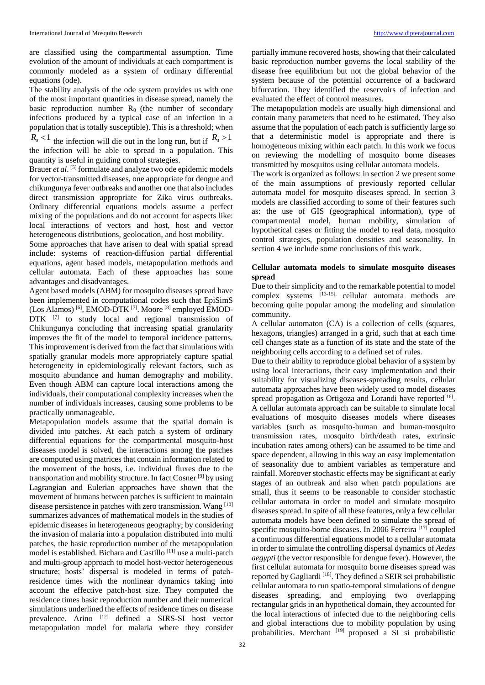are classified using the compartmental assumption. Time evolution of the amount of individuals at each compartment is commonly modeled as a system of ordinary differential equations (ode).

The stability analysis of the ode system provides us with one of the most important quantities in disease spread, namely the basic reproduction number  $R_0$  (the number of secondary infections produced by a typical case of an infection in a population that is totally susceptible). This is a threshold; when

 $R_0$  < 1 the infection will die out in the long run, but if  $R_0$  > 1 the infection will be able to spread in a population. This quantity is useful in guiding control strategies.

Brauer *et al*. [5] formulate and analyze two ode epidemic models for vector-transmitted diseases, one appropriate for dengue and chikungunya fever outbreaks and another one that also includes direct transmission appropriate for Zika virus outbreaks. Ordinary differential equations models assume a perfect mixing of the populations and do not account for aspects like: local interactions of vectors and host, host and vector heterogeneous distributions, geolocation, and host mobility.

Some approaches that have arisen to deal with spatial spread include: systems of reaction-diffusion partial differential equations, agent based models, metapopulation methods and cellular automata. Each of these approaches has some advantages and disadvantages.

Agent based models (ABM) for mosquito diseases spread have been implemented in computational codes such that EpiSimS (Los Alamos) [6], EMOD-DTK [7]. Moore [8] employed EMOD-DTK <sup>[7]</sup> to study local and regional transmission of Chikungunya concluding that increasing spatial granularity improves the fit of the model to temporal incidence patterns. This improvement is derived from the fact that simulations with spatially granular models more appropriately capture spatial heterogeneity in epidemiologically relevant factors, such as mosquito abundance and human demography and mobility. Even though ABM can capture local interactions among the individuals, their computational complexity increases when the number of individuals increases, causing some problems to be practically unmanageable.

Metapopulation models assume that the spatial domain is divided into patches. At each patch a system of ordinary differential equations for the compartmental mosquito-host diseases model is solved, the interactions among the patches are computed using matrices that contain information related to the movement of the hosts, i.e. individual fluxes due to the transportation and mobility structure. In fact Cosner [9] by using Lagrangian and Eulerian approaches have shown that the movement of humans between patches is sufficient to maintain disease persistence in patches with zero transmission. Wang [10] summarizes advances of mathematical models in the studies of epidemic diseases in heterogeneous geography; by considering the invasion of malaria into a population distributed into multi patches, the basic reproduction number of the metapopulation model is established. Bichara and Castillo [11] use a multi-patch and multi-group approach to model host-vector heterogeneous structure; hosts' dispersal is modeled in terms of patchresidence times with the nonlinear dynamics taking into account the effective patch-host size. They computed the residence times basic reproduction number and their numerical simulations underlined the effects of residence times on disease prevalence. Arino [12] defined a SIRS-SI host vector metapopulation model for malaria where they consider

partially immune recovered hosts, showing that their calculated basic reproduction number governs the local stability of the disease free equilibrium but not the global behavior of the system because of the potential occurrence of a backward bifurcation. They identified the reservoirs of infection and evaluated the effect of control measures.

The metapopulation models are usually high dimensional and contain many parameters that need to be estimated. They also assume that the population of each patch is sufficiently large so that a deterministic model is appropriate and there is homogeneous mixing within each patch. In this work we focus on reviewing the modelling of mosquito borne diseases transmitted by mosquitos using cellular automata models.

The work is organized as follows: in section 2 we present some of the main assumptions of previously reported cellular automata model for mosquito diseases spread. In section 3 models are classified according to some of their features such as: the use of GIS (geographical information), type of compartmental model, human mobility, simulation of hypothetical cases or fitting the model to real data, mosquito control strategies, population densities and seasonality. In section 4 we include some conclusions of this work.

#### **Cellular automata models to simulate mosquito diseases spread**

Due to their simplicity and to the remarkable potential to model complex systems [13-15], cellular automata methods are becoming quite popular among the modeling and simulation community.

A cellular automaton (CA) is a collection of cells (squares, hexagons, triangles) arranged in a grid, such that at each time cell changes state as a function of its state and the state of the neighboring cells according to a defined set of rules.

Due to their ability to reproduce global behavior of a system by using local interactions, their easy implementation and their suitability for visualizing diseases-spreading results, cellular automata approaches have been widely used to model diseases spread propagation as Ortigoza and Lorandi have reported<sup>[16]</sup>. A cellular automata approach can be suitable to simulate local evaluations of mosquito diseases models where diseases variables (such as mosquito-human and human-mosquito transmission rates, mosquito birth/death rates, extrinsic incubation rates among others) can be assumed to be time and space dependent, allowing in this way an easy implementation of seasonality due to ambient variables as temperature and rainfall. Moreover stochastic effects may be significant at early stages of an outbreak and also when patch populations are small, thus it seems to be reasonable to consider stochastic cellular automata in order to model and simulate mosquito diseases spread. In spite of all these features, only a few cellular automata models have been defined to simulate the spread of specific mosquito-borne diseases. In 2006 Ferreira<sup>[17]</sup> coupled a continuous differential equations model to a cellular automata in order to simulate the controlling dispersal dynamics of *Aedes aegypti* (the vector responsible for dengue fever). However, the first cellular automata for mosquito borne diseases spread was reported by Gagliardi [18]. They defined a SEIR sei probabilistic cellular automata to run spatio-temporal simulations of dengue diseases spreading, and employing two overlapping rectangular grids in an hypothetical domain, they accounted for the local interactions of infected due to the neighboring cells and global interactions due to mobility population by using probabilities. Merchant [19] proposed a SI si probabilistic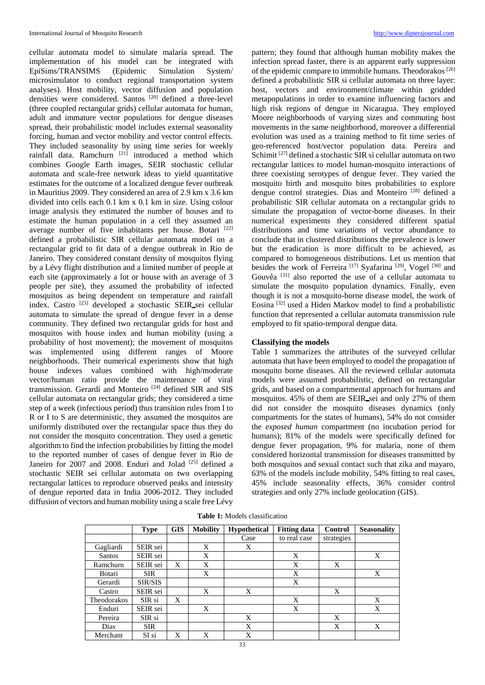cellular automata model to simulate malaria spread. The implementation of his model can be integrated with EpiSims/TRANSIMS (Epidemic Simulation System/ microsimulator to conduct regional transportation system analyses). Host mobility, vector diffusion and population densities were considered. Santos [20] defined a three-level (three coupled rectangular grids) cellular automata for human, adult and immature vector populations for dengue diseases spread, their probabilistic model includes external seasonality forcing, human and vector mobility and vector control effects. They included seasonality by using time series for weekly rainfall data. Ramchurn  $[21]$  introduced a method which combines Google Earth images, SEIR stochastic cellular automata and scale-free network ideas to yield quantitative estimates for the outcome of a localized dengue fever outbreak in Mauritius 2009. They considered an area of 2.9 km x 3.6 km divided into cells each 0.1 km x 0.1 km in size. Using colour image analysis they estimated the number of houses and to estimate the human population in a cell they assumed an average number of five inhabitants per house. Botari [22] defined a probabilistic SIR cellular automata model on a rectangular grid to fit data of a dengue outbreak in Rio de Janeiro. They considered constant density of mosquitos flying by a Lévy flight distribution and a limited number of people at each site (approximately a lot or house with an average of 3 people per site), they assumed the probability of infected mosquitos as being dependent on temperature and rainfall index. Castro <sup>[23]</sup> developed a stochastic SEIR sei cellular automata to simulate the spread of dengue fever in a dense community. They defined two rectangular grids for host and mosquitos with house index and human mobility (using a probability of host movement); the movement of mosquitos was implemented using different ranges of Moore neighborhoods. Their numerical experiments show that high house indexes values combined with high/moderate vector/human ratio provide the maintenance of viral transmission. Gerardi and Monteiro [24] defined SIR and SIS cellular automata on rectangular grids; they considered a time step of a week (infectious period) thus transition rules from I to R or I to S are deterministic, they assumed the mosquitos are uniformly distributed over the rectangular space thus they do not consider the mosquito concentration. They used a genetic algorithm to find the infection probabilities by fitting the model to the reported number of cases of dengue fever in Rio de Janeiro for 2007 and 2008. Enduri and Jolad [25] defined a stochastic SEIR sei cellular automata on two overlapping rectangular lattices to reproduce observed peaks and intensity of dengue reported data in India 2006-2012. They included diffusion of vectors and human mobility using a scale free Lévy

pattern; they found that although human mobility makes the infection spread faster, there is an apparent early suppression of the epidemic compare to immobile humans. Theodorakos [26] defined a probabilistic SIR si cellular automata on three layer: host, vectors and environment/climate within gridded metapopulations in order to examine influencing factors and high risk regions of dengue in Nicaragua. They employed Moore neighborhoods of varying sizes and commuting host movements in the same neighborhood, moreover a differential evolution was used as a training method to fit time series of geo-referenced host/vector population data. Pereira and Schimit<sup>[27]</sup> defined a stochastic SIR si celullar automata on two rectangular lattices to model human-mosquito interactions of three coexisting serotypes of dengue fever. They varied the mosquito birth and mosquito bites probabilities to explore dengue control strategies. Dias and Monteiro [28] defined a probabilistic SIR cellular automata on a rectangular grids to simulate the propagation of vector-borne diseases. In their numerical experiments they considered different spatial distributions and time variations of vector abundance to conclude that in clustered distributions the prevalence is lower but the eradication is more difficult to be achieved, as compared to homogeneous distributions. Let us mention that besides the work of Ferreira [17] Syafarina [29], Vogel [30] and Gouvêa [31] also reported the use of a cellular automata to simulate the mosquito population dynamics. Finally, even though it is not a mosquito-borne disease model, the work of Eosina [32] used a Hiden Markov model to find a probabilistic function that represented a cellular automata transmission rule employed to fit spatio-temporal dengue data.

#### **Classifying the models**

Table 1 summarizes the attributes of the surveyed cellular automata that have been employed to model the propagation of mosquito borne diseases. All the reviewed cellular automata models were assumed probabilistic, defined on rectangular grids, and based on a compartmental approach for humans and mosquitos. 45% of them are SEIR sei and only 27% of them did not consider the mosquito diseases dynamics (only compartments for the states of humans), 54% do not consider the *exposed human* compartment (no incubation period for humans); 81% of the models were specifically defined for dengue fever propagation, 9% for malaria, none of them considered horizontal transmission for diseases transmitted by both mosquitos and sexual contact such that zika and mayaro, 63% of the models include mobility, 54% fitting to real cases, 45% include seasonality effects, 36% consider control strategies and only 27% include geolocation (GIS).

|             | <b>Type</b> | <b>GIS</b> | <b>Mobility</b> | <b>Hypothetical</b> | <b>Fitting data</b> | Control    | <b>Seasonality</b> |
|-------------|-------------|------------|-----------------|---------------------|---------------------|------------|--------------------|
|             |             |            |                 | Case                | to real case        | strategies |                    |
| Gagliardi   | SEIR sei    |            | X               | X                   |                     |            |                    |
| Santos      | SEIR sei    |            | X               |                     | X                   |            | X                  |
| Ramchurn    | SEIR sei    | X          | X               |                     | X                   | X          |                    |
| Botari      | <b>SIR</b>  |            | X               |                     | X                   |            | X                  |
| Gerardi     | SIR/SIS     |            |                 |                     | X                   |            |                    |
| Castro      | SEIR sei    |            | X               | X                   |                     | X          |                    |
| Theodorakos | SIR si      | X          |                 |                     | X                   |            | X                  |
| Enduri      | SEIR sei    |            | X               |                     | X                   |            | X                  |
| Pereira     | SIR si      |            |                 | X                   |                     | X          |                    |
| Dias        | <b>SIR</b>  |            |                 | X                   |                     | X          | X                  |
| Merchant    | SI si       | X          | X               | X                   |                     |            |                    |

**Table 1:** Models classification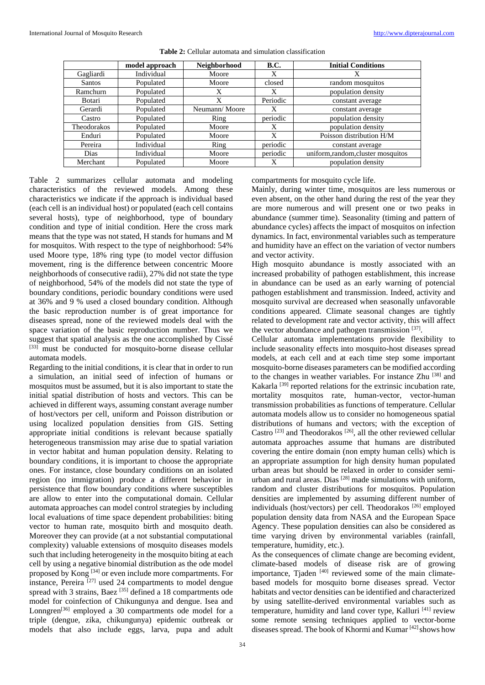|               | model approach | Neighborhood  | <b>B.C.</b> | <b>Initial Conditions</b>          |  |
|---------------|----------------|---------------|-------------|------------------------------------|--|
| Gagliardi     | Individual     | Moore         | X           | X                                  |  |
| <b>Santos</b> | Populated      | Moore         | closed      | random mosquitos                   |  |
| Ramchurn      | Populated      | X             | X           | population density                 |  |
| Botari        | Populated      | X             | Periodic    | constant average                   |  |
| Gerardi       | Populated      | Neumann/Moore | X           | constant average                   |  |
| Castro        | Populated      | Ring          | periodic    | population density                 |  |
| Theodorakos   | Populated      | Moore         | X           | population density                 |  |
| Enduri        | Populated      | Moore         | X           | Poisson distribution H/M           |  |
| Pereira       | Individual     | Ring          | periodic    | constant average                   |  |
| <b>Dias</b>   | Individual     | Moore         | periodic    | uniform, random, cluster mosquitos |  |
| Merchant      | Populated      | Moore         | Χ           | population density                 |  |

**Table 2:** Cellular automata and simulation classification

Table 2 summarizes cellular automata and modeling characteristics of the reviewed models. Among these characteristics we indicate if the approach is individual based (each cell is an individual host) or populated (each cell contains several hosts), type of neighborhood, type of boundary condition and type of initial condition. Here the cross mark means that the type was not stated, H stands for humans and M for mosquitos. With respect to the type of neighborhood: 54% used Moore type, 18% ring type (to model vector diffusion movement, ring is the difference between concentric Moore neighborhoods of consecutive radii), 27% did not state the type of neighborhood, 54% of the models did not state the type of boundary conditions, periodic boundary conditions were used at 36% and 9 % used a closed boundary condition. Although the basic reproduction number is of great importance for diseases spread, none of the reviewed models deal with the space variation of the basic reproduction number. Thus we suggest that spatial analysis as the one accomplished by Cissé [33] must be conducted for mosquito-borne disease cellular automata models.

Regarding to the initial conditions, it is clear that in order to run a simulation, an initial seed of infection of humans or mosquitos must be assumed, but it is also important to state the initial spatial distribution of hosts and vectors. This can be achieved in different ways, assuming constant average number of host/vectors per cell, uniform and Poisson distribution or using localized population densities from GIS. Setting appropriate initial conditions is relevant because spatially heterogeneous transmission may arise due to spatial variation in vector habitat and human population density. Relating to boundary conditions, it is important to choose the appropriate ones. For instance, close boundary conditions on an isolated region (no immigration) produce a different behavior in persistence that flow boundary conditions where susceptibles are allow to enter into the computational domain. Cellular automata approaches can model control strategies by including local evaluations of time space dependent probabilities: biting vector to human rate, mosquito birth and mosquito death. Moreover they can provide (at a not substantial computational complexity) valuable extensions of mosquito diseases models such that including heterogeneity in the mosquito biting at each cell by using a negative binomial distribution as the ode model proposed by Kong [34] or even include more compartments. For instance, Pereira [27] used 24 compartments to model dengue spread with 3 strains, Baez [35] defined a 18 compartments ode model for coinfection of Chikungunya and dengue. Isea and Lonngren<sup>[36]</sup> employed a 30 compartments ode model for a triple (dengue, zika, chikungunya) epidemic outbreak or models that also include eggs, larva, pupa and adult

compartments for mosquito cycle life.

Mainly, during winter time, mosquitos are less numerous or even absent, on the other hand during the rest of the year they are more numerous and will present one or two peaks in abundance (summer time). Seasonality (timing and pattern of abundance cycles) affects the impact of mosquitos on infection dynamics. In fact, environmental variables such as temperature and humidity have an effect on the variation of vector numbers and vector activity.

High mosquito abundance is mostly associated with an increased probability of pathogen establishment, this increase in abundance can be used as an early warning of potencial pathogen establishment and transmission. Indeed, activity and mosquito survival are decreased when seasonally unfavorable conditions appeared. Climate seasonal changes are tightly related to development rate and vector activity, this will affect the vector abundance and pathogen transmission [37].

Cellular automata implementations provide flexibility to include seasonality effects into mosquito-host diseases spread models, at each cell and at each time step some important mosquito-borne diseases parameters can be modified according to the changes in weather variables. For instance Zhu [38] and Kakarla<sup>[39]</sup> reported relations for the extrinsic incubation rate, mortality mosquitos rate, human-vector, vector-human transmission probabilities as functions of temperature. Cellular automata models allow us to consider no homogeneous spatial distributions of humans and vectors; with the exception of Castro [23] and Theodorakos [26], all the other reviewed cellular automata approaches assume that humans are distributed covering the entire domain (non empty human cells) which is an appropriate assumption for high density human populated urban areas but should be relaxed in order to consider semiurban and rural areas. Dias [28] made simulations with uniform, random and cluster distributions for mosquitos. Population densities are implemented by assuming different number of individuals (host/vectors) per cell. Theodorakos [26] employed population density data from NASA and the European Space Agency. These population densities can also be considered as time varying driven by environmental variables (rainfall, temperature, humidity, etc.).

As the consequences of climate change are becoming evident, climate-based models of disease risk are of growing importance, Tjaden<sup>[40]</sup> reviewed some of the main climatebased models for mosquito borne diseases spread. Vector habitats and vector densities can be identified and characterized by using satellite-derived environmental variables such as temperature, humidity and land cover type, Kalluri [41] review some remote sensing techniques applied to vector-borne diseases spread. The book of Khormi and Kumar  $[42]$  shows how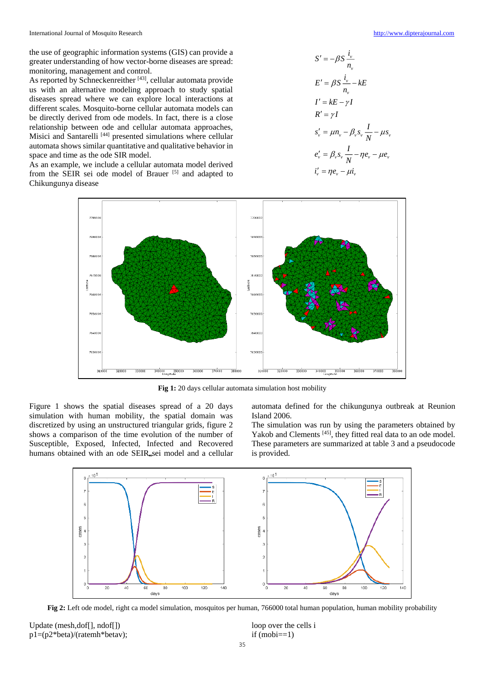the use of geographic information systems (GIS) can provide a greater understanding of how vector-borne diseases are spread: monitoring, management and control.

As reported by Schneckenreither<sup>[43]</sup>, cellular automata provide us with an alternative modeling approach to study spatial diseases spread where we can explore local interactions at different scales. Mosquito-borne cellular automata models can be directly derived from ode models. In fact, there is a close relationship between ode and cellular automata approaches, Misici and Santarelli<sup>[44]</sup> presented simulations where cellular automata shows similar quantitative and qualitative behavior in space and time as the ode SIR model.

As an example, we include a cellular automata model derived from the SEIR sei ode model of Brauer [5] and adapted to Chikungunya disease

$$
S' = -\beta S \frac{i_v}{n_v}
$$
  
\n
$$
E' = \beta S \frac{i_v}{n_v} - kE
$$
  
\n
$$
I' = kE - \gamma I
$$
  
\n
$$
R' = \gamma I
$$
  
\n
$$
s'_v = \mu n_v - \beta_v s_v \frac{I}{N} - \mu s_v
$$
  
\n
$$
e'_v = \beta_v s_v \frac{I}{N} - \eta e_v - \mu e_v
$$
  
\n
$$
i'_v = \eta e_v - \mu i_v
$$



**Fig 1:** 20 days cellular automata simulation host mobility

Figure 1 shows the spatial diseases spread of a 20 days simulation with human mobility, the spatial domain was discretized by using an unstructured triangular grids, figure 2 shows a comparison of the time evolution of the number of Susceptible, Exposed, Infected, Infected and Recovered humans obtained with an ode SEIR<sub>esei</sub> model and a cellular automata defined for the chikungunya outbreak at Reunion Island 2006.

The simulation was run by using the parameters obtained by Yakob and Clements [45], they fitted real data to an ode model. These parameters are summarized at table 3 and a pseudocode is provided.



**Fig 2:** Left ode model, right ca model simulation, mosquitos per human, 766000 total human population, human mobility probability

Update (mesh,dof[], ndof[]) p1=(p2\*beta)/(ratemh\*betav); loop over the cells i  $if (mobi==1)$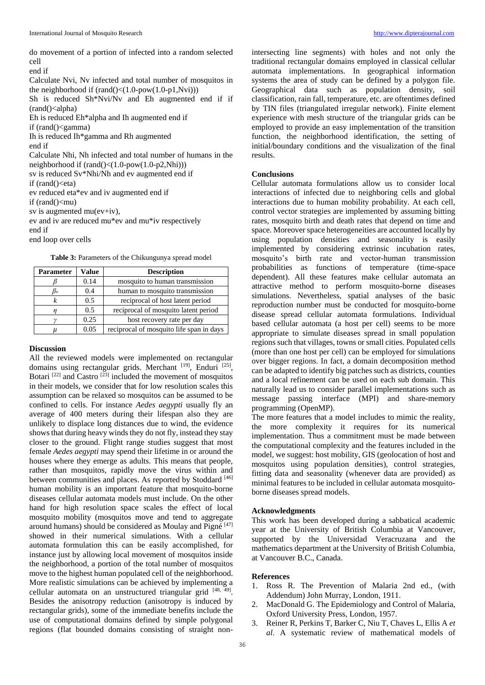do movement of a portion of infected into a random selected cell

end if

Calculate Nvi, Nv infected and total number of mosquitos in the neighborhood if  $(rand( $1.0$ -pow( $1.0$ -p1,Nvi)))$ 

Sh is reduced Sh\*Nvi/Nv and Eh augmented end if if  $(rand$  $\leq$ alpha)

Eh is reduced Eh\*alpha and Ih augmented end if

if (rand()<gamma)

Ih is reduced Ih\*gamma and Rh augmented

end if

Calculate Nhi, Nh infected and total number of humans in the neighborhood if (rand()<(1.0-pow(1.0-p2,Nhi)))

sv is reduced Sv\*Nhi/Nh and ev augmented end if

if  $(rand( $)<$ eta)$ 

ev reduced eta\*ev and iv augmented end if

if  $(rand( $)$ <sub>mu</sub>)$ 

sv is augmented  $mu(ev+iv)$ ,

ev and iv are reduced mu\*ev and mu\*iv respectively

end if

end loop over cells

**Table 3:** Parameters of the Chikungunya spread model

| Parameter | Value | <b>Description</b>                       |
|-----------|-------|------------------------------------------|
|           | 0.14  | mosquito to human transmission           |
| $\beta_v$ | 0.4   | human to mosquito transmission           |
| k         | 0.5   | reciprocal of host latent period         |
|           | 0.5   | reciprocal of mosquito latent period     |
|           | 0.25  | host recovery rate per day               |
| и         | 0.05  | reciprocal of mosquito life span in days |

#### **Discussion**

All the reviewed models were implemented on rectangular domains using rectangular grids. Merchant [19], Enduri [25], Botari  $[22]$  and Castro  $[23]$  included the movement of mosquitos in their models, we consider that for low resolution scales this assumption can be relaxed so mosquitos can be assumed to be confined to cells. For instance *Aedes aegypti* usually fly an average of 400 meters during their lifespan also they are unlikely to displace long distances due to wind, the evidence shows that during heavy winds they do not fly, instead they stay closer to the ground. Flight range studies suggest that most female *Aedes aegypti* may spend their lifetime in or around the houses where they emerge as adults. This means that people, rather than mosquitos, rapidly move the virus within and between communities and places. As reported by Stoddard [46] human mobility is an important feature that mosquito-borne diseases cellular automata models must include. On the other hand for high resolution space scales the effect of local mosquito mobility (mosquitos move and tend to aggregate around humans) should be considered as Moulay and Pigné [47] showed in their numerical simulations. With a cellular automata formulation this can be easily accomplished, for instance just by allowing local movement of mosquitos inside the neighborhood, a portion of the total number of mosquitos move to the highest human populated cell of the neighborhood. More realistic simulations can be achieved by implementing a cellular automata on an unstructured triangular grid  $[48, 49]$ . Besides the anisotropy reduction (anisotropy is induced by rectangular grids), some of the immediate benefits include the use of computational domains defined by simple polygonal regions (flat bounded domains consisting of straight nonintersecting line segments) with holes and not only the traditional rectangular domains employed in classical cellular automata implementations. In geographical information systems the area of study can be defined by a polygon file. Geographical data such as population density, soil classification, rain fall, temperature, etc. are oftentimes defined by TIN files (triangulated irregular network). Finite element experience with mesh structure of the triangular grids can be employed to provide an easy implementation of the transition function, the neighborhood identification, the setting of initial/boundary conditions and the visualization of the final results.

#### **Conclusions**

Cellular automata formulations allow us to consider local interactions of infected due to neighboring cells and global interactions due to human mobility probability. At each cell, control vector strategies are implemented by assuming bitting rates, mosquito birth and death rates that depend on time and space. Moreover space heterogeneities are accounted locally by using population densities and seasonality is easily implemented by considering extrinsic incubation rates, mosquito's birth rate and vector-human transmission probabilities as functions of temperature (time-space dependent). All these features make cellular automata an attractive method to perform mosquito-borne diseases simulations. Nevertheless, spatial analyses of the basic reproduction number must be conducted for mosquito-borne disease spread cellular automata formulations. Individual based cellular automata (a host per cell) seems to be more appropriate to simulate diseases spread in small population regions such that villages, towns or small cities. Populated cells (more than one host per cell) can be employed for simulations over bigger regions. In fact, a domain decomposition method can be adapted to identify big patches such as districts, counties and a local refinement can be used on each sub domain. This naturally lead us to consider parallel implementations such as message passing interface (MPI) and share-memory programming (OpenMP).

The more features that a model includes to mimic the reality, the more complexity it requires for its numerical implementation. Thus a commitment must be made between the computational complexity and the features included in the model, we suggest: host mobility, GIS (geolocation of host and mosquitos using population densities), control strategies, fitting data and seasonality (whenever data are provided) as minimal features to be included in cellular automata mosquitoborne diseases spread models.

#### **Acknowledgments**

This work has been developed during a sabbatical academic year at the University of British Columbia at Vancouver, supported by the Universidad Veracruzana and the mathematics department at the University of British Columbia, at Vancouver B.C., Canada.

#### **References**

- 1. Ross R. The Prevention of Malaria 2nd ed., (with Addendum) John Murray, London, 1911.
- 2. MacDonald G. The Epidemiology and Control of Malaria, Oxford University Press, London, 1957.
- 3. Reiner R, Perkins T, Barker C, Niu T, Chaves L, Ellis A *et al*. A systematic review of mathematical models of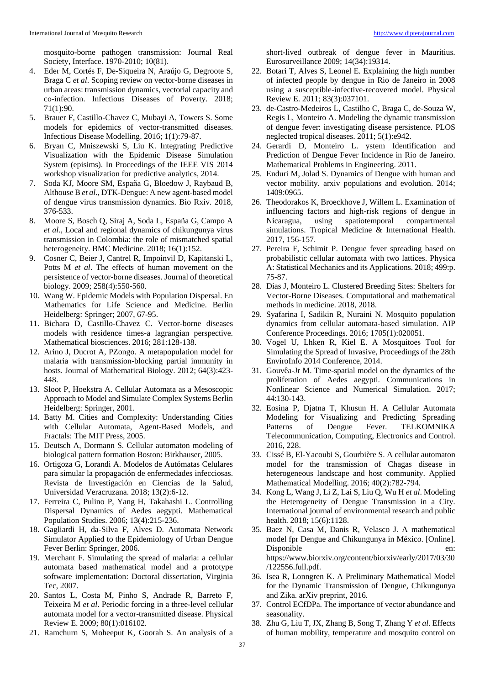mosquito-borne pathogen transmission: Journal Real Society, Interface. 1970-2010; 10(81).

- 4. Eder M, Cortés F, De-Siqueira N, Araújo G, Degroote S, Braga C *et al*. Scoping review on vector-borne diseases in urban areas: transmission dynamics, vectorial capacity and co-infection. Infectious Diseases of Poverty. 2018; 71(1):90.
- 5. Brauer F, Castillo-Chavez C, Mubayi A, Towers S. Some models for epidemics of vector-transmitted diseases. Infectious Disease Modelling. 2016; 1(1):79-87.
- 6. Bryan C, Mniszewski S, Liu K. Integrating Predictive Visualization with the Epidemic Disease Simulation System (episims). In Proceedings of the IEEE VIS 2014 workshop visualization for predictive analytics, 2014.
- 7. Soda KJ, Moore SM, España G, Bloedow J, Raybaud B, Althouse B *et al*., DTK-Dengue: A new agent-based model of dengue virus transmission dynamics. Bio Rxiv. 2018, 376-533.
- 8. Moore S, Bosch Q, Siraj A, Soda L, España G, Campo A *et al*., Local and regional dynamics of chikungunya virus transmission in Colombia: the role of mismatched spatial heterogeneity. BMC Medicine. 2018; 16(1):152.
- 9. Cosner C, Beier J, Cantrel R, Impoinvil D, Kapitanski L, Potts M *et al*. The effects of human movement on the persistence of vector-borne diseases. Journal of theoretical biology. 2009; 258(4):550-560.
- 10. Wang W. Epidemic Models with Population Dispersal. En Mathematics for Life Science and Medicine. Berlin Heidelberg: Springer; 2007, 67-95.
- 11. Bichara D, Castillo-Chavez C. Vector-borne diseases models with residence times-a lagrangian perspective. Mathematical biosciences. 2016; 281:128-138.
- 12. Arino J, Ducrot A, PZongo. A metapopulation model for malaria with transmission-blocking partial immunity in hosts. Journal of Mathematical Biology. 2012; 64(3):423- 448.
- 13. Sloot P, Hoekstra A. Cellular Automata as a Mesoscopic Approach to Model and Simulate Complex Systems Berlin Heidelberg: Springer, 2001.
- 14. Batty M. Cities and Complexity: Understanding Cities with Cellular Automata, Agent-Based Models, and Fractals: The MIT Press, 2005.
- 15. Deutsch A, Dormann S. Cellular automaton modeling of biological pattern formation Boston: Birkhauser, 2005.
- 16. Ortigoza G, Lorandi A. Modelos de Autómatas Celulares para simular la propagación de enfermedades infecciosas. Revista de Investigación en Ciencias de la Salud, Universidad Veracruzana. 2018; 13(2):6-12.
- 17. Ferreira C, Pulino P, Yang H, Takahashi L. Controlling Dispersal Dynamics of Aedes aegypti. Mathematical Population Studies. 2006; 13(4):215-236.
- 18. Gagliardi H, da-Silva F, Alves D. Automata Network Simulator Applied to the Epidemiology of Urban Dengue Fever Berlin: Springer, 2006.
- 19. Merchant F. Simulating the spread of malaria: a cellular automata based mathematical model and a prototype software implementation: Doctoral dissertation, Virginia Tec, 2007.
- 20. Santos L, Costa M, Pinho S, Andrade R, Barreto F, Teixeira M *et al*. Periodic forcing in a three-level cellular automata model for a vector-transmitted disease. Physical Review E. 2009; 80(1):016102.
- 21. Ramchurn S, Moheeput K, Goorah S. An analysis of a

short-lived outbreak of dengue fever in Mauritius. Eurosurveillance 2009; 14(34):19314.

- 22. Botari T, Alves S, Leonel E. Explaining the high number of infected people by dengue in Rio de Janeiro in 2008 using a susceptible-infective-recovered model. Physical Review E. 2011; 83(3):037101.
- 23. de-Castro-Medeiros L, Castilho C, Braga C, de-Souza W, Regis L, Monteiro A. Modeling the dynamic transmission of dengue fever: investigating disease persistence. PLOS neglected tropical diseases. 2011; 5(1):e942.
- 24. Gerardi D, Monteiro L. ystem Identification and Prediction of Dengue Fever Incidence in Rio de Janeiro. Mathematical Problems in Engineering. 2011.
- 25. Enduri M, Jolad S. Dynamics of Dengue with human and vector mobility. arxiv populations and evolution. 2014; 1409:0965.
- 26. Theodorakos K, Broeckhove J, Willem L. Examination of influencing factors and high-risk regions of dengue in Nicaragua, using spatiotemporal compartmental simulations. Tropical Medicine & International Health. 2017, 156-157.
- 27. Pereira F, Schimit P. Dengue fever spreading based on probabilistic cellular automata with two lattices. Physica A: Statistical Mechanics and its Applications. 2018; 499:p. 75-87.
- 28. Dias J, Monteiro L. Clustered Breeding Sites: Shelters for Vector-Borne Diseases. Computational and mathematical methods in medicine. 2018, 2018.
- 29. Syafarina I, Sadikin R, Nuraini N. Mosquito population dynamics from cellular automata-based simulation. AIP Conference Proceedings. 2016; 1705(1):020051.
- 30. Vogel U, Lhken R, Kiel E. A Mosquitoes Tool for Simulating the Spread of Invasive, Proceedings of the 28th EnviroInfo 2014 Conference, 2014.
- 31. Gouvêa-Jr M. Time-spatial model on the dynamics of the proliferation of Aedes aegypti. Communications in Nonlinear Science and Numerical Simulation. 2017; 44:130-143.
- 32. Eosina P, Djatna T, Khusun H. A Cellular Automata Modeling for Visualizing and Predicting Spreading Patterns of Dengue Fever. TELKOMNIKA Telecommunication, Computing, Electronics and Control. 2016, 228.
- 33. Cissé B, El-Yacoubi S, Gourbière S. A cellular automaton model for the transmission of Chagas disease in heterogeneous landscape and host community. Applied Mathematical Modelling. 2016; 40(2):782-794.
- 34. Kong L, Wang J, Li Z, Lai S, Liu Q, Wu H *et al*. Modeling the Heterogeneity of Dengue Transmission in a City. International journal of environmental research and public health. 2018; 15(6):1128.
- 35. Baez N, Casa M, Danis R, Velasco J. A mathematical model fpr Dengue and Chikungunya in México. [Online]. Disponible en: https://www.biorxiv.org/content/biorxiv/early/2017/03/30 /122556.full.pdf.
- 36. Isea R, Lonngren K. A Preliminary Mathematical Model for the Dynamic Transmission of Dengue, Chikungunya and Zika. arXiv preprint, 2016.
- 37. Control ECfDPa. The importance of vector abundance and seasonality.
- 38. Zhu G, Liu T, JX, Zhang B, Song T, Zhang Y *et al*. Effects of human mobility, temperature and mosquito control on